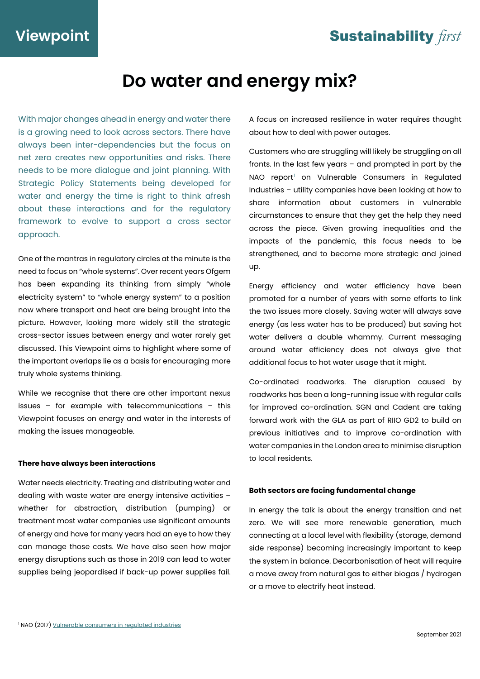### **Sustainability first**

# **Do water and energy mix?**

With major changes ahead in energy and water there is a growing need to look across sectors. There have always been inter-dependencies but the focus on net zero creates new opportunities and risks. There needs to be more dialogue and joint planning. With Strategic Policy Statements being developed for water and energy the time is right to think afresh about these interactions and for the regulatory framework to evolve to support a cross sector approach.

One of the mantras in regulatory circles at the minute is the need to focus on "whole systems". Over recent years Ofgem has been expanding its thinking from simply "whole electricity system" to "whole energy system" to a position now where transport and heat are being brought into the picture. However, looking more widely still the strategic cross-sector issues between energy and water rarely get discussed. This Viewpoint aims to highlight where some of the important overlaps lie as a basis for encouraging more truly whole systems thinking.

While we recognise that there are other important nexus issues – for example with telecommunications – this Viewpoint focuses on energy and water in the interests of making the issues manageable.

#### **There have always been interactions**

Water needs electricity. Treating and distributing water and dealing with waste water are energy intensive activities – whether for abstraction, distribution (pumping) or treatment most water companies use significant amounts of energy and have for many years had an eye to how they can manage those costs. We have also seen how major energy disruptions such as those in 2019 can lead to water supplies being jeopardised if back-up power supplies fail. A focus on increased resilience in water requires thought about how to deal with power outages.

Customers who are struggling will likely be struggling on all fronts. In the last few years – and prompted in part by the NAO report<sup>[1](#page-0-0)</sup> on Vulnerable Consumers in Regulated Industries – utility companies have been looking at how to share information about customers in vulnerable circumstances to ensure that they get the help they need across the piece. Given growing inequalities and the impacts of the pandemic, this focus needs to be strengthened, and to become more strategic and joined up.

Energy efficiency and water efficiency have been promoted for a number of years with some efforts to link the two issues more closely. Saving water will always save energy (as less water has to be produced) but saving hot water delivers a double whammy. Current messaging around water efficiency does not always give that additional focus to hot water usage that it might.

Co-ordinated roadworks. The disruption caused by roadworks has been a long-running issue with regular calls for improved co-ordination. SGN and Cadent are taking forward work with the GLA as part of RIIO GD2 to build on previous initiatives and to improve co-ordination with water companies in the London area to minimise disruption to local residents.

#### **Both sectors are facing fundamental change**

In energy the talk is about the energy transition and net zero. We will see more renewable generation, much connecting at a local level with flexibility (storage, demand side response) becoming increasingly important to keep the system in balance. Decarbonisation of heat will require a move away from natural gas to either biogas / hydrogen or a move to electrify heat instead.

<span id="page-0-0"></span><sup>&</sup>lt;sup>1</sup> NAO (2017[\) Vulnerable consumers in regulated industries](https://www.nao.org.uk/report/vulnerable-consumers-in-regulated-industries/)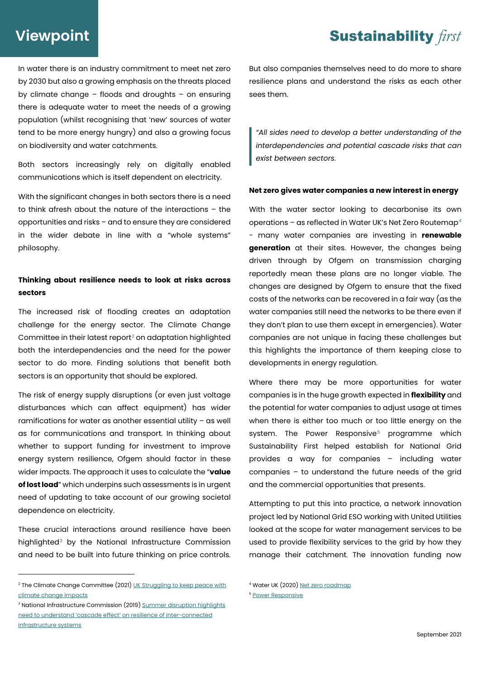### **Sustainability first**

## **Viewpoint**

In water there is an industry commitment to meet net zero by 2030 but also a growing emphasis on the threats placed by climate change – floods and droughts – on ensuring there is adequate water to meet the needs of a growing population (whilst recognising that 'new' sources of water tend to be more energy hungry) and also a growing focus on biodiversity and water catchments.

Both sectors increasingly rely on digitally enabled communications which is itself dependent on electricity.

With the significant changes in both sectors there is a need to think afresh about the nature of the interactions – the opportunities and risks – and to ensure they are considered in the wider debate in line with a "whole systems" philosophy.

### **Thinking about resilience needs to look at risks across sectors**

The increased risk of flooding creates an adaptation challenge for the energy sector. The Climate Change Committee in their latest report<sup>[2](#page-1-0)</sup> on adaptation highlighted both the interdependencies and the need for the power sector to do more. Finding solutions that benefit both sectors is an opportunity that should be explored.

The risk of energy supply disruptions (or even just voltage disturbances which can affect equipment) has wider ramifications for water as another essential utility – as well as for communications and transport. In thinking about whether to support funding for investment to improve energy system resilience, Ofgem should factor in these wider impacts. The approach it uses to calculate the "**value of lost load**" which underpins such assessments is in urgent need of updating to take account of our growing societal dependence on electricity.

These crucial interactions around resilience have been highlighted<sup>[3](#page-1-1)</sup> by the National Infrastructure Commission and need to be built into future thinking on price controls. But also companies themselves need to do more to share resilience plans and understand the risks as each other sees them.

*"All sides need to develop a better understanding of the interdependencies and potential cascade risks that can exist between sectors.*

#### **Net zero gives water companies a new interest in energy**

With the water sector looking to decarbonise its own operations – as reflected in Water UK's Net Zero Routemap[4](#page-1-0) - many water companies are investing in **renewable generation** at their sites. However, the changes being driven through by Ofgem on transmission charging reportedly mean these plans are no longer viable. The changes are designed by Ofgem to ensure that the fixed costs of the networks can be recovered in a fair way (as the water companies still need the networks to be there even if they don't plan to use them except in emergencies). Water companies are not unique in facing these challenges but this highlights the importance of them keeping close to developments in energy regulation.

Where there may be more opportunities for water companies is in the huge growth expected in **flexibility** and the potential for water companies to adjust usage at times when there is either too much or too little energy on the system. The Power Responsive<sup>[5](#page-1-2)</sup> programme which Sustainability First helped establish for National Grid provides a way for companies – including water companies – to understand the future needs of the grid and the commercial opportunities that presents.

Attempting to put this into practice, a network innovation project led by National Grid ESO working with United Utilities looked at the scope for water management services to be used to provide flexibility services to the grid by how they manage their catchment. The innovation funding now

<span id="page-1-0"></span><sup>&</sup>lt;sup>2</sup> The Climate Change Committee (2021) UK Struggling to keep peace with [climate change impacts](https://www.theccc.org.uk/2021/06/16/uk-struggling-to-keep-pace-with-climate-change-impacts/)

<span id="page-1-2"></span><span id="page-1-1"></span><sup>&</sup>lt;sup>3</sup> National Infrastructure Commission (2019[\) Summer disruption highlights](https://nic.org.uk/news/summer-disruption-highlights-need-to-understand-cascade-effect-on-resilience-of-inter-connected-infrastructure-systems/) [need to understand 'cascade effect' on resilience of inter-connected](https://nic.org.uk/news/summer-disruption-highlights-need-to-understand-cascade-effect-on-resilience-of-inter-connected-infrastructure-systems/)  [infrastructure systems](https://nic.org.uk/news/summer-disruption-highlights-need-to-understand-cascade-effect-on-resilience-of-inter-connected-infrastructure-systems/)

<sup>&</sup>lt;sup>4</sup> Water UK (2020[\) Net zero roadmap](https://www.water.org.uk/routemap2030/)

<sup>5</sup> [Power Responsive](http://powerresponsive.com/)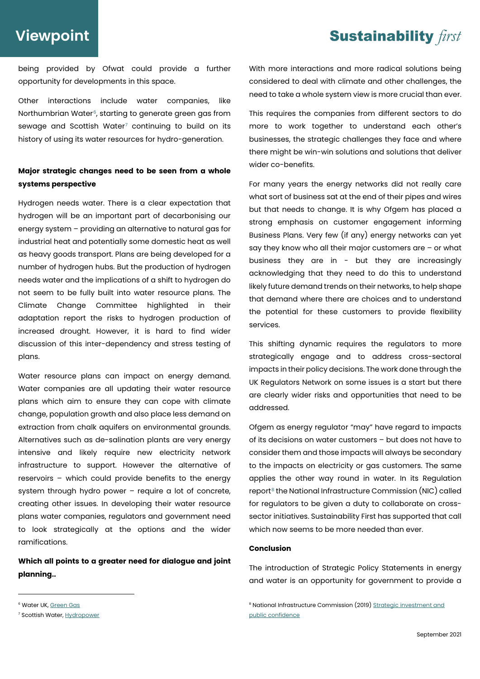### **Viewpoint**

### **Sustainability first**

being provided by Ofwat could provide a further opportunity for developments in this space.

Other interactions include water companies, like Northumbrian Water<sup>[6](#page-2-0)</sup>, starting to generate green gas from sewage and Scottish Water<sup>[7](#page-2-1)</sup> continuing to build on its history of using its water resources for hydro-generation.

### **Major strategic changes need to be seen from a whole systems perspective**

Hydrogen needs water. There is a clear expectation that hydrogen will be an important part of decarbonising our energy system – providing an alternative to natural gas for industrial heat and potentially some domestic heat as well as heavy goods transport. Plans are being developed for a number of hydrogen hubs. But the production of hydrogen needs water and the implications of a shift to hydrogen do not seem to be fully built into water resource plans. The Climate Change Committee highlighted in their adaptation report the risks to hydrogen production of increased drought. However, it is hard to find wider discussion of this inter-dependency and stress testing of plans.

Water resource plans can impact on energy demand. Water companies are all updating their water resource plans which aim to ensure they can cope with climate change, population growth and also place less demand on extraction from chalk aquifers on environmental grounds. Alternatives such as de-salination plants are very energy intensive and likely require new electricity network infrastructure to support. However the alternative of reservoirs – which could provide benefits to the energy system through hydro power – require a lot of concrete, creating other issues. In developing their water resource plans water companies, regulators and government need to look strategically at the options and the wider ramifications.

**Which all points to a greater need for dialogue and joint planning..**

With more interactions and more radical solutions being considered to deal with climate and other challenges, the need to take a whole system view is more crucial than ever.

This requires the companies from different sectors to do more to work together to understand each other's businesses, the strategic challenges they face and where there might be win-win solutions and solutions that deliver wider co-benefits.

For many years the energy networks did not really care what sort of business sat at the end of their pipes and wires but that needs to change. It is why Ofgem has placed a strong emphasis on customer engagement informing Business Plans. Very few (if any) energy networks can yet say they know who all their major customers are – or what business they are in - but they are increasingly acknowledging that they need to do this to understand likely future demand trends on their networks, to help shape that demand where there are choices and to understand the potential for these customers to provide flexibility services.

This shifting dynamic requires the regulators to more strategically engage and to address cross-sectoral impacts in their policy decisions. The work done through the UK Regulators Network on some issues is a start but there are clearly wider risks and opportunities that need to be addressed.

Ofgem as energy regulator "may" have regard to impacts of its decisions on water customers – but does not have to consider them and those impacts will always be secondary to the impacts on electricity or gas customers. The same applies the other way round in water. In its Regulation report<sup>[8](#page-2-0)</sup> the National Infrastructure Commission (NIC) called for regulators to be given a duty to collaborate on crosssector initiatives. Sustainability First has supported that call which now seems to be more needed than ever.

#### **Conclusion**

The introduction of Strategic Policy Statements in energy and water is an opportunity for government to provide a

<span id="page-2-0"></span><sup>&</sup>lt;sup>6</sup> Water UK[, Green Gas](https://www.water.org.uk/routemap2030/green-gas/)

<span id="page-2-1"></span><sup>&</sup>lt;sup>7</sup> Scottish Water, **[Hydropower](https://www.scottishwater.co.uk/about-us/energy-and-sustainability/renewable-energy-technologies/hydro)** 

<sup>&</sup>lt;sup>8</sup> National Infrastructure Commission (2019) Strategic investment and [public confidence](https://nic.org.uk/app/uploads/NIC-Strategic-Investment-Public-Confidence-October-2019.pdf)